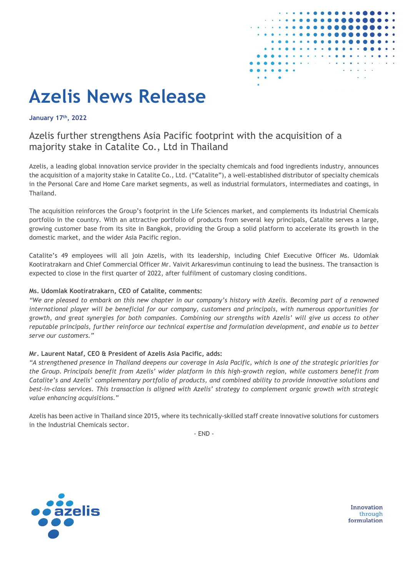

# **Azelis News Release**

**January 17th, 2022**

## Azelis further strengthens Asia Pacific footprint with the acquisition of a majority stake in Catalite Co., Ltd in Thailand

Azelis, a leading global innovation service provider in the specialty chemicals and food ingredients industry, announces the acquisition of a majority stake in Catalite Co., Ltd. ("Catalite"), a well-established distributor of specialty chemicals in the Personal Care and Home Care market segments, as well as industrial formulators, intermediates and coatings, in Thailand.

The acquisition reinforces the Group's footprint in the Life Sciences market, and complements its Industrial Chemicals portfolio in the country. With an attractive portfolio of products from several key principals, Catalite serves a large, growing customer base from its site in Bangkok, providing the Group a solid platform to accelerate its growth in the domestic market, and the wider Asia Pacific region.

Catalite's 49 employees will all join Azelis, with its leadership, including Chief Executive Officer Ms. Udomlak Kootiratrakarn and Chief Commercial Officer Mr. Vaivit Arkaresvimun continuing to lead the business. The transaction is expected to close in the first quarter of 2022, after fulfilment of customary closing conditions.

### **Ms. Udomlak Kootiratrakarn, CEO of Catalite, comments:**

*"We are pleased to embark on this new chapter in our company's history with Azelis. Becoming part of a renowned international player will be beneficial for our company, customers and principals, with numerous opportunities for growth, and great synergies for both companies. Combining our strengths with Azelis' will give us access to other reputable principals, further reinforce our technical expertise and formulation development, and enable us to better serve our customers."*

#### **Mr. Laurent Nataf, CEO & President of Azelis Asia Pacific, adds:**

*"A strengthened presence in Thailand deepens our coverage in Asia Pacific, which is one of the strategic priorities for the Group. Principals benefit from Azelis' wider platform in this high-growth region, while customers benefit from Catalite's and Azelis' complementary portfolio of products, and combined ability to provide innovative solutions and best-in-class services*. *This transaction is aligned with Azelis' strategy to complement organic growth with strategic value enhancing acquisitions.*"

Azelis has been active in Thailand since 2015, where its technically-skilled staff create innovative solutions for customers in the Industrial Chemicals sector.

- END -